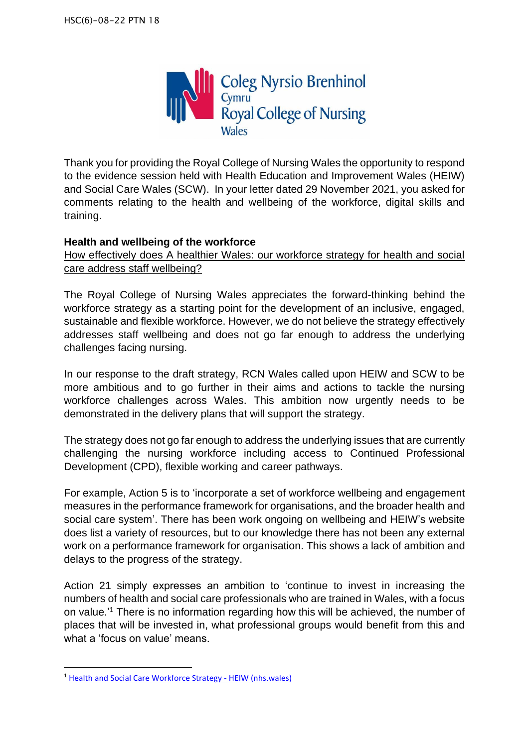

Thank you for providing the Royal College of Nursing Wales the opportunity to respond to the evidence session held with Health Education and Improvement Wales (HEIW) and Social Care Wales (SCW). In your letter dated 29 November 2021, you asked for comments relating to the health and wellbeing of the workforce, digital skills and training.

### **Health and wellbeing of the workforce**

How effectively does A healthier Wales: our workforce strategy for health and social care address staff wellbeing?

The Royal College of Nursing Wales appreciates the forward-thinking behind the workforce strategy as a starting point for the development of an inclusive, engaged, sustainable and flexible workforce. However, we do not believe the strategy effectively addresses staff wellbeing and does not go far enough to address the underlying challenges facing nursing.

In our response to the draft strategy, RCN Wales called upon HEIW and SCW to be more ambitious and to go further in their aims and actions to tackle the nursing workforce challenges across Wales. This ambition now urgently needs to be demonstrated in the delivery plans that will support the strategy.

The strategy does not go far enough to address the underlying issues that are currently challenging the nursing workforce including access to Continued Professional Development (CPD), flexible working and career pathways.

For example, Action 5 is to 'incorporate a set of workforce wellbeing and engagement measures in the performance framework for organisations, and the broader health and social care system'. There has been work ongoing on wellbeing and HEIW's website does list a variety of resources, but to our knowledge there has not been any external work on a performance framework for organisation. This shows a lack of ambition and delays to the progress of the strategy.

Action 21 simply expresses an ambition to 'continue to invest in increasing the numbers of health and social care professionals who are trained in Wales, with a focus on value.' <sup>1</sup> There is no information regarding how this will be achieved, the number of places that will be invested in, what professional groups would benefit from this and what a 'focus on value' means.

<sup>1</sup> [Health and Social Care Workforce Strategy -](https://heiw.nhs.wales/programmes/health-and-social-care-workforce-strategy/) HEIW (nhs.wales)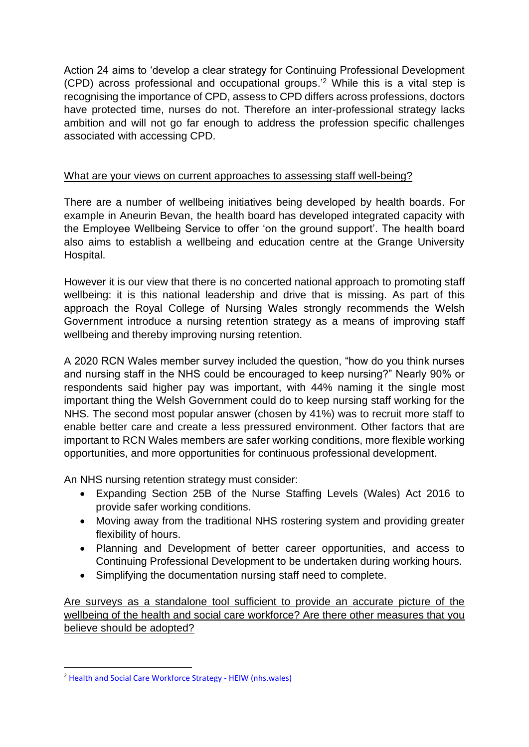Action 24 aims to 'develop a clear strategy for Continuing Professional Development (CPD) across professional and occupational groups.'<sup>2</sup> While this is a vital step is recognising the importance of CPD, assess to CPD differs across professions, doctors have protected time, nurses do not. Therefore an inter-professional strategy lacks ambition and will not go far enough to address the profession specific challenges associated with accessing CPD.

## What are your views on current approaches to assessing staff well-being?

There are a number of wellbeing initiatives being developed by health boards. For example in Aneurin Bevan, the health board has developed integrated capacity with the Employee Wellbeing Service to offer 'on the ground support'. The health board also aims to establish a wellbeing and education centre at the Grange University Hospital.

However it is our view that there is no concerted national approach to promoting staff wellbeing: it is this national leadership and drive that is missing. As part of this approach the Royal College of Nursing Wales strongly recommends the Welsh Government introduce a nursing retention strategy as a means of improving staff wellbeing and thereby improving nursing retention.

A 2020 RCN Wales member survey included the question, "how do you think nurses and nursing staff in the NHS could be encouraged to keep nursing?" Nearly 90% or respondents said higher pay was important, with 44% naming it the single most important thing the Welsh Government could do to keep nursing staff working for the NHS. The second most popular answer (chosen by 41%) was to recruit more staff to enable better care and create a less pressured environment. Other factors that are important to RCN Wales members are safer working conditions, more flexible working opportunities, and more opportunities for continuous professional development.

An NHS nursing retention strategy must consider:

- Expanding Section 25B of the Nurse Staffing Levels (Wales) Act 2016 to provide safer working conditions.
- Moving away from the traditional NHS rostering system and providing greater flexibility of hours.
- Planning and Development of better career opportunities, and access to Continuing Professional Development to be undertaken during working hours.
- Simplifying the documentation nursing staff need to complete.

Are surveys as a standalone tool sufficient to provide an accurate picture of the wellbeing of the health and social care workforce? Are there other measures that you believe should be adopted?

<sup>2</sup> [Health and Social Care Workforce Strategy -](https://heiw.nhs.wales/programmes/health-and-social-care-workforce-strategy/) HEIW (nhs.wales)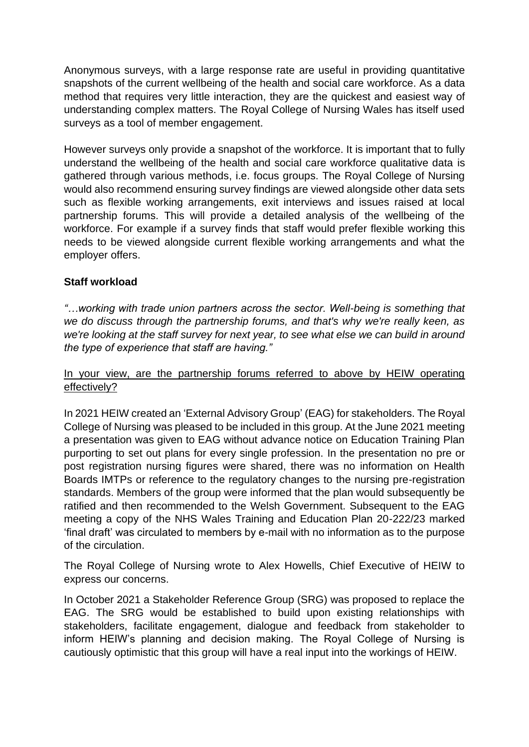Anonymous surveys, with a large response rate are useful in providing quantitative snapshots of the current wellbeing of the health and social care workforce. As a data method that requires very little interaction, they are the quickest and easiest way of understanding complex matters. The Royal College of Nursing Wales has itself used surveys as a tool of member engagement.

However surveys only provide a snapshot of the workforce. It is important that to fully understand the wellbeing of the health and social care workforce qualitative data is gathered through various methods, i.e. focus groups. The Royal College of Nursing would also recommend ensuring survey findings are viewed alongside other data sets such as flexible working arrangements, exit interviews and issues raised at local partnership forums. This will provide a detailed analysis of the wellbeing of the workforce. For example if a survey finds that staff would prefer flexible working this needs to be viewed alongside current flexible working arrangements and what the employer offers.

# **Staff workload**

*"…working with trade union partners across the sector. Well-being is something that we do discuss through the partnership forums, and that's why we're really keen, as we're looking at the staff survey for next year, to see what else we can build in around the type of experience that staff are having."* 

### In your view, are the partnership forums referred to above by HEIW operating effectively?

In 2021 HEIW created an 'External Advisory Group' (EAG) for stakeholders. The Royal College of Nursing was pleased to be included in this group. At the June 2021 meeting a presentation was given to EAG without advance notice on Education Training Plan purporting to set out plans for every single profession. In the presentation no pre or post registration nursing figures were shared, there was no information on Health Boards IMTPs or reference to the regulatory changes to the nursing pre-registration standards. Members of the group were informed that the plan would subsequently be ratified and then recommended to the Welsh Government. Subsequent to the EAG meeting a copy of the NHS Wales Training and Education Plan 20-222/23 marked 'final draft' was circulated to members by e-mail with no information as to the purpose of the circulation.

The Royal College of Nursing wrote to Alex Howells, Chief Executive of HEIW to express our concerns.

In October 2021 a Stakeholder Reference Group (SRG) was proposed to replace the EAG. The SRG would be established to build upon existing relationships with stakeholders, facilitate engagement, dialogue and feedback from stakeholder to inform HEIW's planning and decision making. The Royal College of Nursing is cautiously optimistic that this group will have a real input into the workings of HEIW.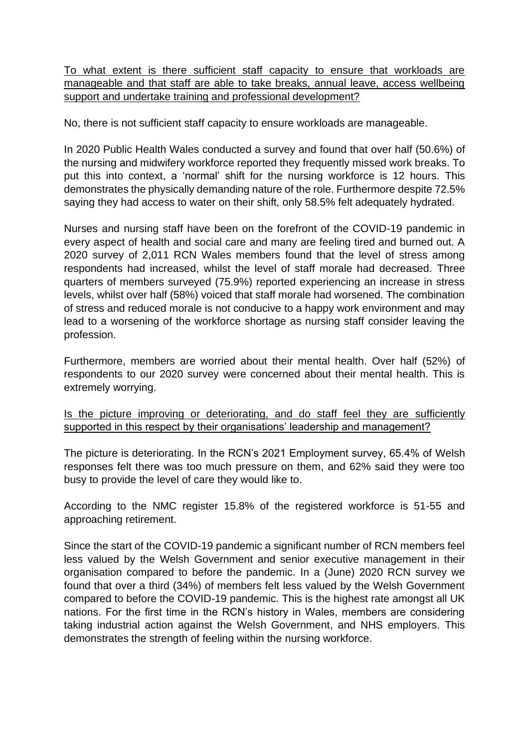To what extent is there sufficient staff capacity to ensure that workloads are manageable and that staff are able to take breaks, annual leave, access wellbeing support and undertake training and professional development?

No, there is not sufficient staff capacity to ensure workloads are manageable.

In 2020 Public Health Wales conducted a survey and found that over half (50.6%) of the nursing and midwifery workforce reported they frequently missed work breaks. To put this into context, a 'normal' shift for the nursing workforce is 12 hours. This demonstrates the physically demanding nature of the role. Furthermore despite 72.5% saying they had access to water on their shift, only 58.5% felt adequately hydrated.

Nurses and nursing staff have been on the forefront of the COVID-19 pandemic in every aspect of health and social care and many are feeling tired and burned out. A 2020 survey of 2,011 RCN Wales members found that the level of stress among respondents had increased, whilst the level of staff morale had decreased. Three quarters of members surveyed (75.9%) reported experiencing an increase in stress levels, whilst over half (58%) voiced that staff morale had worsened. The combination of stress and reduced morale is not conducive to a happy work environment and may lead to a worsening of the workforce shortage as nursing staff consider leaving the profession.

Furthermore, members are worried about their mental health. Over half (52%) of respondents to our 2020 survey were concerned about their mental health. This is extremely worrying.

Is the picture improving or deteriorating, and do staff feel they are sufficiently supported in this respect by their organisations' leadership and management?

The picture is deteriorating. In the RCN's 2021 Employment survey, 65.4% of Welsh responses felt there was too much pressure on them, and 62% said they were too busy to provide the level of care they would like to.

According to the NMC register 15.8% of the registered workforce is 51-55 and approaching retirement.

Since the start of the COVID-19 pandemic a significant number of RCN members feel less valued by the Welsh Government and senior executive management in their organisation compared to before the pandemic. In a (June) 2020 RCN survey we found that over a third (34%) of members felt less valued by the Welsh Government compared to before the COVID-19 pandemic. This is the highest rate amongst all UK nations. For the first time in the RCN's history in Wales, members are considering taking industrial action against the Welsh Government, and NHS employers. This demonstrates the strength of feeling within the nursing workforce.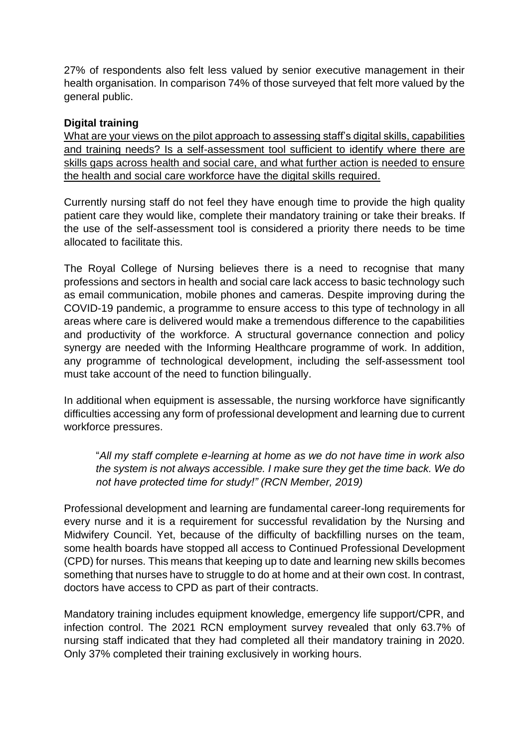27% of respondents also felt less valued by senior executive management in their health organisation. In comparison 74% of those surveyed that felt more valued by the general public.

#### **Digital training**

What are your views on the pilot approach to assessing staff's digital skills, capabilities and training needs? Is a self-assessment tool sufficient to identify where there are skills gaps across health and social care, and what further action is needed to ensure the health and social care workforce have the digital skills required.

Currently nursing staff do not feel they have enough time to provide the high quality patient care they would like, complete their mandatory training or take their breaks. If the use of the self-assessment tool is considered a priority there needs to be time allocated to facilitate this.

The Royal College of Nursing believes there is a need to recognise that many professions and sectors in health and social care lack access to basic technology such as email communication, mobile phones and cameras. Despite improving during the COVID-19 pandemic, a programme to ensure access to this type of technology in all areas where care is delivered would make a tremendous difference to the capabilities and productivity of the workforce. A structural governance connection and policy synergy are needed with the Informing Healthcare programme of work. In addition, any programme of technological development, including the self-assessment tool must take account of the need to function bilingually.

In additional when equipment is assessable, the nursing workforce have significantly difficulties accessing any form of professional development and learning due to current workforce pressures.

"*All my staff complete e-learning at home as we do not have time in work also the system is not always accessible. I make sure they get the time back. We do not have protected time for study!" (RCN Member, 2019)*

Professional development and learning are fundamental career-long requirements for every nurse and it is a requirement for successful revalidation by the Nursing and Midwifery Council. Yet, because of the difficulty of backfilling nurses on the team, some health boards have stopped all access to Continued Professional Development (CPD) for nurses. This means that keeping up to date and learning new skills becomes something that nurses have to struggle to do at home and at their own cost. In contrast, doctors have access to CPD as part of their contracts.

Mandatory training includes equipment knowledge, emergency life support/CPR, and infection control. The 2021 RCN employment survey revealed that only 63.7% of nursing staff indicated that they had completed all their mandatory training in 2020. Only 37% completed their training exclusively in working hours.